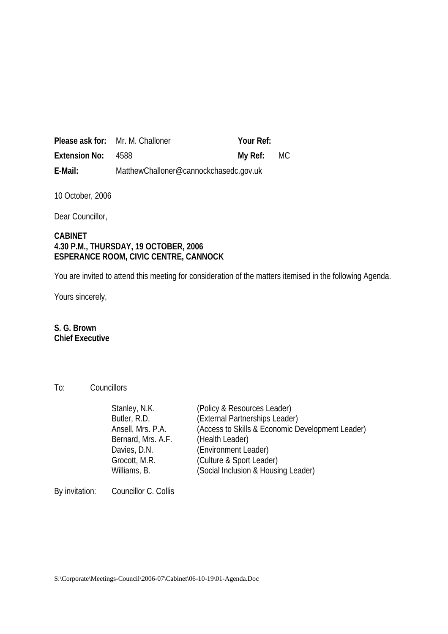|               | <b>Please ask for:</b> Mr. M. Challoner | Your Ref:  |  |
|---------------|-----------------------------------------|------------|--|
| Extension No: | - 4588                                  | My Ref: MC |  |
| E-Mail:       | MatthewChalloner@cannockchasedc.gov.uk  |            |  |

10 October, 2006

Dear Councillor,

### **CABINET 4.30 P.M., THURSDAY, 19 OCTOBER, 2006 ESPERANCE ROOM, CIVIC CENTRE, CANNOCK**

You are invited to attend this meeting for consideration of the matters itemised in the following Agenda.

Yours sincerely,

# **S. G. Brown Chief Executive**

#### To: Councillors

| Stanley, N.K.      | (Policy & Resources Leader)                      |
|--------------------|--------------------------------------------------|
| Butler, R.D.       | (External Partnerships Leader)                   |
| Ansell, Mrs. P.A.  | (Access to Skills & Economic Development Leader) |
| Bernard, Mrs. A.F. | (Health Leader)                                  |
| Davies, D.N.       | (Environment Leader)                             |
| Grocott, M.R.      | (Culture & Sport Leader)                         |
| Williams, B.       | (Social Inclusion & Housing Leader)              |
|                    |                                                  |

By invitation: Councillor C. Collis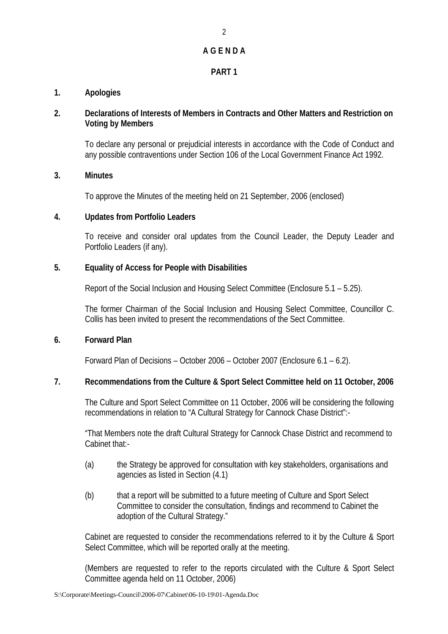# **A G E N D A**

# **PART 1**

# **1. Apologies**

## **2. Declarations of Interests of Members in Contracts and Other Matters and Restriction on Voting by Members**

To declare any personal or prejudicial interests in accordance with the Code of Conduct and any possible contraventions under Section 106 of the Local Government Finance Act 1992.

### **3. Minutes**

To approve the Minutes of the meeting held on 21 September, 2006 (enclosed)

### **4. Updates from Portfolio Leaders**

To receive and consider oral updates from the Council Leader, the Deputy Leader and Portfolio Leaders (if any).

# **5. Equality of Access for People with Disabilities**

Report of the Social Inclusion and Housing Select Committee (Enclosure 5.1 – 5.25).

The former Chairman of the Social Inclusion and Housing Select Committee, Councillor C. Collis has been invited to present the recommendations of the Sect Committee.

### **6. Forward Plan**

Forward Plan of Decisions – October 2006 – October 2007 (Enclosure 6.1 – 6.2).

# **7. Recommendations from the Culture & Sport Select Committee held on 11 October, 2006**

The Culture and Sport Select Committee on 11 October, 2006 will be considering the following recommendations in relation to "A Cultural Strategy for Cannock Chase District":-

"That Members note the draft Cultural Strategy for Cannock Chase District and recommend to Cabinet that:-

- (a) the Strategy be approved for consultation with key stakeholders, organisations and agencies as listed in Section (4.1)
- (b) that a report will be submitted to a future meeting of Culture and Sport Select Committee to consider the consultation, findings and recommend to Cabinet the adoption of the Cultural Strategy."

Cabinet are requested to consider the recommendations referred to it by the Culture & Sport Select Committee, which will be reported orally at the meeting.

(Members are requested to refer to the reports circulated with the Culture & Sport Select Committee agenda held on 11 October, 2006)